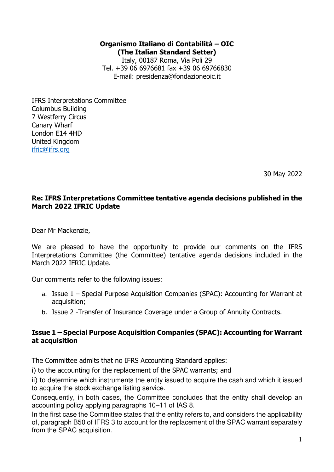## **Organismo Italiano di Contabilità – OIC (The Italian Standard Setter)**

Italy, 00187 Roma, Via Poli 29 Tel. +39 06 6976681 fax +39 06 69766830 E-mail: presidenza@fondazioneoic.it

IFRS Interpretations Committee Columbus Building 7 Westferry Circus Canary Wharf London E14 4HD United Kingdom ifric@ifrs.org

30 May 2022

## **Re: IFRS Interpretations Committee tentative agenda decisions published in the March 2022 IFRIC Update**

Dear Mr Mackenzie,

We are pleased to have the opportunity to provide our comments on the IFRS Interpretations Committee (the Committee) tentative agenda decisions included in the March 2022 IFRIC Update.

Our comments refer to the following issues:

- a. Issue 1 Special Purpose Acquisition Companies (SPAC): Accounting for Warrant at acquisition;
- b. Issue 2 -Transfer of Insurance Coverage under a Group of Annuity Contracts.

## **Issue 1 – Special Purpose Acquisition Companies (SPAC): Accounting for Warrant at acquisition**

The Committee admits that no IFRS Accounting Standard applies:

i) to the accounting for the replacement of the SPAC warrants; and

ii) to determine which instruments the entity issued to acquire the cash and which it issued to acquire the stock exchange listing service.

Consequently, in both cases, the Committee concludes that the entity shall develop an accounting policy applying paragraphs 10–11 of IAS 8.

In the first case the Committee states that the entity refers to, and considers the applicability of, paragraph B50 of IFRS 3 to account for the replacement of the SPAC warrant separately from the SPAC acquisition.